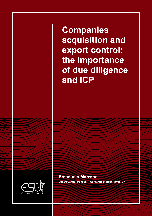**Companies acquisition and export control: the importance of due diligence and ICP**



**Emanuela Marrone Export Control Manager – Corporate at Rolls Royce, UK.**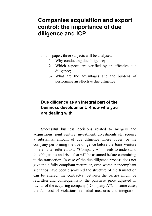# **Companies acquisition and export control: the importance of due diligence and ICP**

In this paper, three subjects will be analysed:

- 1- Why conducting due diligence;
- 2- Which aspects are verified by an effective due diligence;
- 3- What are the advantages and the burdens of performing an effective due diligence

## **Due diligence as an integral part of the business development: Know who you are dealing with.**

Successful business decisions related to mergers and acquisitions, joint venture, investment, divestments etc. require a substantial amount of due diligence where buyer, or the company performing the due diligence before the Joint Venture  $-$  hereinafter referred to as "Company A"  $-$  needs to understand the obligations and risks that will be assumed before committing to the transaction. In case of the due diligence process does not give the a fully compliant picture or, even worse, noncompliant scenarios have been discovered the structure of the transaction can be altered, the contract(s) between the parties might be rewritten and consequentially the purchase price adjusted in favour of the acquiring company ("Company A"). In some cases, the full cost of violations, remedial measures and integration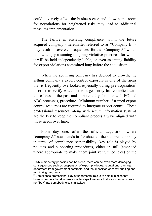could adversely affect the business case and allow some room for negotiations for heightened risks may lead to additional measures implementation.

The failure in ensuring compliance within the future acquired company - hereinafter referred to as "Company  $B$ " may result in severe consequences<sup>1</sup> for the "Company A" which is unwittingly assuming on-going violative practices, for which it will be held independently liable, or even assuming liability for export violations committed long before the acquisition.

When the acquiring company has decided to growth, the selling company's export control exposure is one of the areas that is frequently overlooked especially during pre-acquisition<sup>2</sup> in order to verify whether the target entity has complied with those laws in the past and is potentially familiar with EC and ABC processes, procedure. Minimum number of trained export control resources are required to integrate export control. These professional resources, along with secure information systems are the key to keep the compliant process always aligned with those needs over time.

From day one, after the official acquisition where "company  $A$ " now stands in the shoes of the acquired company in terms of compliance responsibility, key role is played by policies and supporting procedures, either in full (amended where appropriate to make them joint venture policies) or the

<sup>&</sup>lt;sup>1</sup> While monetary penalties can be steep, there can be even more damaging consequences such as suspension of export privileges, reputational damage, debarment from government contracts, and the imposition of costly auditing and monitoring programs.

 $2$  Compliance professional play a fundamental role is to help minimize that buyer's remorse by taking reasonable steps to ensure that your company does not "buy" into somebody else's mistakes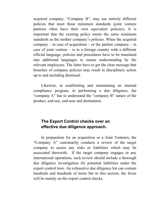acquired company, "Company B", may use entirely different policies that meet these minimum standards (joint venture partners often have their own equivalent policies). It is important that the existing policy meets the same minimum standards as the mother company's policies. When the acquired company  $-\text{ in case of acquisition} - \text{ or the partner company} - \text{ in}$ case of joint venture  $-\overline{\phantom{a}}$  is in a foreign country with a different official language, policies and procedures have to be translated into additional languages to ensure understanding by the relevant employees. The latter have to get the clear message that breaches of company policies may result in disciplinary action up to and including dismissal.

Likewise, in establishing and maintaining an internal compliance program, in performing a due diligence, the "company A" has to understand the "company B" nature of the product, end-use, end-user and destination.

### **The Export Control checks over an effective due diligence approach.**

In preparation for an acquisition or a Joint Ventures, the "Company A" customarily conducts a review of the target company to assess any risks or liabilities which may be associated therewith. If the target company engages in any international operations, such review should include a thorough due diligence investigation for potential liabilities under the export control laws. An exhaustive due diligence list can contain hundreds and hundreds of items but in this section, the focus will be mainly on the export control checks.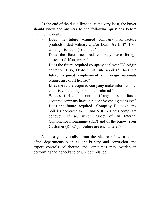At the end of the due diligence, at the very least, the buyer should know the answers to the following questions before making the deal :

- Does the future acquired company manufacture products listed Military and/or Dual Use List? If so, which jurisdiction(s) applies?
- Does the future acquired company have foreign customers? If so, where?
- Does the future acquired company deal with US-origin content? If so, De-Minimis rule applies? Does the future acquired employment of foreign nationals require an export license?
- Does the future acquired company make informational exports via training or seminars abroad?
- What sort of export controls, if any, does the future acquired company have in place? Screening measures?
- Does the future acquired "Company B" have any policies dedicated to EC and ABC business compliant conduct? If so, which aspect of an Internal Compliance Programme (ICP) and of the Know Your Customer (KYC) procedure are encountered?

As it easy to visualise from the picture below, as quite often departments such as anti-bribery and corruption and export controls collaborate and sometimes may overlap in performing their checks to ensure compliance.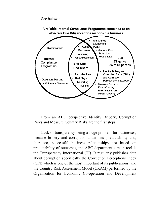See below :



From an ABC perspective Identify Bribery, Corruption Risks and Measure Country Risks are the first steps.

Lack of transparency being a huge problem for businesses, because bribery and corruption undermine predictability and, therefore, successful business relationships are based on predictability of outcomes, the ABC department's main tool is the Transparency International (TI). It regularly publishes data about corruption specifically the Corruption Perceptions Index (CPI) which is one of the most important of its publications; and the Country Risk Assessment Model (CRAM) performed by the Organization for Economic Co-operation and Development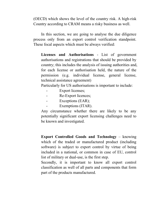(OECD) which shows the level of the country risk. A high-risk Country according to CRAM means a risky business as well.

In this section, we are going to analyse the due diligence process only from an export control verification standpoint. These focal aspects which must be always verified:

**Licenses and Authorisations** - List of government authorisations and registrations that should be provided by country; this includes the analysis of issuing authorities and, for each license or authorisation held, the nature of the permission (e.g. individual license, general license, technical assistance agreement)

Particularly for US authorisations is important to include:

- Export licenses;
- Re-Export licences;
- Exceptions (EAR);
- Exemptions (ITAR).

Any circumstance whether there are likely to be any potentially significant export licensing challenges need to be known and investigated.

**Export Controlled Goods and Technology** – knowing which of the traded or manufactured product (including software) is subject to export control by virtue of being included in a national, or common in case of EU, control list of military or dual-use, is the first step.

Secondly, it is important to know all export control classification as well of all parts and components that form part of the products manufactured.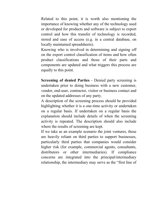Related to this point, it is worth also mentioning the importance of knowing whether any of the technology used or developed for products and software is subject to export control and how this transfer of technology is recorded, stored and ease of access (e.g. in a central database, on locally maintained spreadsheets).

Knowing who is involved in determining and signing off on the export control classification of items and how often product classifications and those of their parts and components are updated and what triggers this process are equally to this point.

**Screening of denied Parties** - Denied party screening is undertaken prior to doing business with a new customer, vendor, end-user, contractor, visitor or business contact and on the updated addresses of any party.

A description of the screening process should be provided highlighting whether it is a one-time activity or undertaken on a regular basis. If undertaken on a regular basis the explanation should include details of when the screening activity is repeated. The description should also include where the results of screening are kept.

If we take as an example scenario the joint ventures, these are heavily reliant on third parties to support businesses, particularly third parties that companies would consider higher risk (for example, commercial agents, consultants, distributors or other intermediaries). If compliance concerns are integrated into the principal/intermediary relationship, the intermediary may serve as the "first line of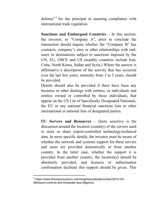defense<sup> $\frac{3}{3}$ </sup> for the principal in assuring compliance with international trade regulation.

**Sanctions and Embargoed Countries** – In this section, the investor, or "Company A", prior to conclude the transaction should inquire whether the "Company B" has contracts, company's sites or other relationships with endusers in destinations subject to sanctions imposed by the UN, EU, OSCE and US (notably countries include Iran, Cuba, North Korea, Sudan and Syria.) Where the answer is affirmative a description of the activity that has occurred over the last few years, normally from 3 to 5 years, should be provided.

Details should also be provided if there have been any business or other dealings with entities, or individuals and entities owned or controlled by those individuals, that appear on the US List of Specifically Designated Nationals, the EU or any national financial sanctions lists or other international or national lists of designated parties.

**IT:** Servers and Resources – Quite sensitive is the discussion around the location (country) of the servers used to store or share export-controlled technology/technical data. In more specific details, the investor must be aware of whether the network and systems support for these servers and users are provided domestically or from another country. In the latter case, whether the support it is provided from another country, the location(s) should be absolutely provided, and licences or authorisation confirmation facilitate this support should be given. This

<sup>3</sup> https://www.thompsoncoburn.com/insights/publications/item/2012-03- 08/export-controls-and-forwarder-due-diligence.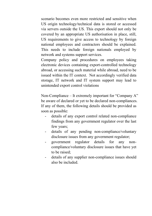scenario becomes even more restricted and sensitive when US origin technology/technical data is stored or accessed via servers outside the US. This export should not only be covered by an appropriate US authorisation in place, still, US requirements to give access to technology by foreign national employees and contractors should be explained. This needs to include foreign nationals employed by network and systems support services.

Company policy and procedures on employees taking electronic devices containing export-controlled technology abroad, or accessing such material while abroad, need to be issued within the IT context. Not accordingly verified data storage, IT network and IT system support may lead to unintended export control violations

Non-Compliance  $-$  It extremely important for "Company A" be aware of declared or yet to be declared non-compliances. If any of them, the following details should be provided as soon as possible:

- details of any export control related non-compliance findings from any government regulator over the last few years;
- details of any pending non-compliance/voluntary disclosure issues from any government regulator;
- government regulator details for any noncompliance/voluntary disclosure issues that have yet to be raised;
- details of any supplier non-compliance issues should also be included.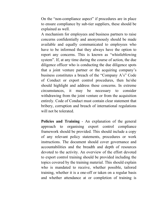On the "non-compliance aspect" if procedures are in place to ensure compliance by sub-tier suppliers, these should be explained as well.

A mechanism for employees and business partners to raise concerns confidentially and anonymously should be made available and equally communicated to employees who have to be informed that they always have the option to report any concerns. This is known as "whistleblowing" system". If, at any time during the course of action, the due diligence officer who is conducting the due diligence spots that a joint venture partner or the acquiring company's business constitutes a breach of the "Company  $A$ 's" Code of Conduct or export control procedures, then he/she should highlight and address these concerns. In extreme circumstances, it may be necessary to consider withdrawing from the joint venture or from the acquisition entirely. Code of Conduct must contain clear statement that bribery, corruption and breach of international regulations will not be tolerated.

**Policies and Training** - An explanation of the general approach to organising export control compliance framework should be provided. This should include a copy of any relevant policy statements, procedures or work instructions. The document should cover governance and accountabilities and the breadth and depth of resources devoted to the activity. An overview of the effort devoted to export control training should be provided including the topics covered by the training material. This should explain who is mandated to receive, whether possible, tailored training, whether it is a one-off or taken on a regular basis and whether attendance at or completion of training is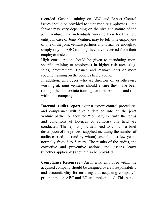recorded. General training on ABC and Export Control issues should be provided to joint venture employees  $-$  the format may vary depending on the size and nature of the joint venture. The individuals working then for this new entity, in case of Joint Venture, may be full time employees of one of the joint venture partners and it may be enough to simply rely on ABC training they have received from their employer instead.

High consideration should be given to mandating more specific training to employees in higher risk areas (e.g. sales, procurement, finance and management) or more specific training on the policies listed above.

In addition, employees who are directors of, or otherwise working at, joint ventures should ensure they have been through the appropriate training for their positions and role within the company

**Internal Audits report** against export control procedures and compliance will give a detailed info on the joint venture partner or acquired "company  $B$ " with the terms and conditions of licences or authorisations held are conducted. The reports provided need to contain a brief description of the process supplied including the number of audits carried out (and by whom) over the last few years, normally from 3 to 5 years. The results of the audits, the corrective and preventive actions and lessons learnt (whether applicable) should also be provided.

**Compliance Resources**  $-\text{An internal employee within the}$ acquired company should be assigned overall responsibility and accountability for ensuring that acquiring company's programme on ABC and EC are implemented. This person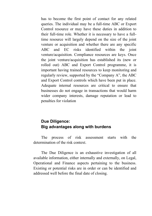has to become the first point of contact for any related queries. The individual may be a full-time ABC or Export Control resource or may have these duties in addition to their full-time role. Whether it is necessary to have a fulltime resource will largely depend on the size of the joint venture or acquisition and whether there are any specific ABC and EC risks identified within the joint venture/acquisition. Compliance resources are keys. Once the joint venture/acquisition has established its (new or rolled out) ABC and Export Control programme, it is important having trained resources to keep monitoring and regularly review, supported by the "Company A", the ABC and Export Control controls which have been put in place. Adequate internal resources are critical to ensure that businesses do not engage in transactions that would harm wider company interests, damage reputation or lead to penalties for violation

### **Due Diligence: Big advantages along with burdens**

The process of risk assessment starts with the determination of the risk context.

The Due Diligence is an exhaustive investigation of all available information, either internally and externally, on Legal, Operational and Finance aspects pertaining to the business. Existing or potential risks are in order or can be identified and addressed well before the final date of closing.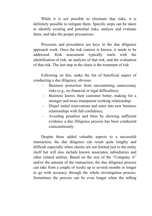While it is not possible to eliminate that risks, it is definitely possible to mitigate them. Specific steps can be taken to identify existing and potential risks, analyze and evaluate them, and take the proper precautions.

Processes and procedures are keys in the due diligence approach work. Once the risk context is known, it needs to be addressed. Risk assessment typically starts with the identification of risk, an analysis of that risk, and the evaluation of that risk. The last step in the chain is the treatment of risk

Following on this, make the list of beneficial aspect of conducting a due diligence, obvious:

- Business protection from encountering unnecessary risks (e.g., no financial or legal difficulties);
- Business knows their customer better, making for a stronger and more transparent working relationship;
- Dispel initial reservations and enter into new business relationships with full confidence;
- Avoiding penalties and fines by showing sufficient evidence a due Diligence process has been conducted conscientiously.

Despite these added valuable aspects to a successful transaction, the due diligence can result quite lengthy and difficult especially when checks are not limited just to the entity itself but will also include known associates, subsidiaries and other related entities. Based on the size of the "Company A" and/or the amount of the transaction, the due diligence process can take from a couple of weeks up to several months or longer to go with accuracy through the whole investigation process. Sometimes the process can be even longer when the selling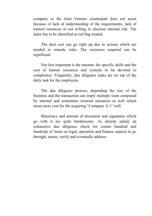company or the Joint Venture counterpart does not assist because of lack of understanding of the requirements, lack of trained resources or not willing to disclose internal risk. The latter has to be identified as red flag treated.

The deal cost can go right up due to actions which are needed to remedy risks. The resources required can be significant.

Not less important is the amount, the specific skills and the cost of human resources and systems to be devoted to compliance. Frequently, due diligence tasks are on top of the daily task for the employees.

The due diligence process, depending the size of the business and the transaction can imply multiple team composed by internal and sometimes external resources as well which mean more cost for the acquiring "Company  $A$ 's" well.

Burocracy and amount of document and signatures which go with it are quite burdensome. As already stated, an exhaustive due diligence check list counts hundred and hundreds of items on legal, operation and finance aspects to go through, assess, verify and eventually address.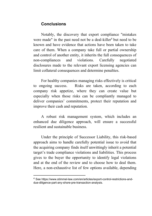### **Conclusions**

Notably, the discovery that export compliance "mistakes were made" in the past need not be a deal-killer<sup>4</sup> but need to be known and have evidence that actions have been taken to take care of them. When a company take full or partial ownership and control of another entity, it inherits the full consequences of non-compliances and violations. Carefully negotiated disclosures made to the relevant export licensing agencies can limit collateral consequences and determine penalties.

For healthy companies managing risks effectively is critical to ongoing success. Risks are taken, according to each company risk appetize, where they can create value but especially when those risks can be compliantly managed to deliver companies' commitments, protect their reputation and improve their cash and reputation.

A robust risk management system, which includes an enhanced due diligence approach, will ensure a successful resilient and sustainable business.

Under the principle of Successor Liability, this risk-based approach aims to handle carefully potential issue to avoid that the acquiring company finds itself unwittingly inherit a potential target's trade compliance violations and liabilities. This process gives to the buyer the opportunity to identify legal violations and at the end of the review and to choose how to deal them. Here, a non-exhaustive list of few options available, depending

<sup>4</sup> See https://www.stimmel-law.com/en/articles/export-control-restrictions-anddue-diligence-part-any-shore-pre-transaction-analysis.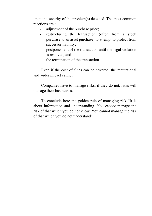upon the severity of the problem(s) detected. The most common reactions are :

- adjustment of the purchase price;
- restructuring the transaction (often from a stock purchase to an asset purchase) to attempt to protect from successor liability;
- postponement of the transaction until the legal violation is resolved; and
- the termination of the transaction

Even if the cost of fines can be covered, the reputational and wider impact cannot.

Companies have to manage risks, if they do not, risks will manage their businesses.

To conclude here the golden rule of managing risk "It is about information and understanding. You cannot manage the risk of that which you do not know. You cannot manage the risk of that which you do not understand"